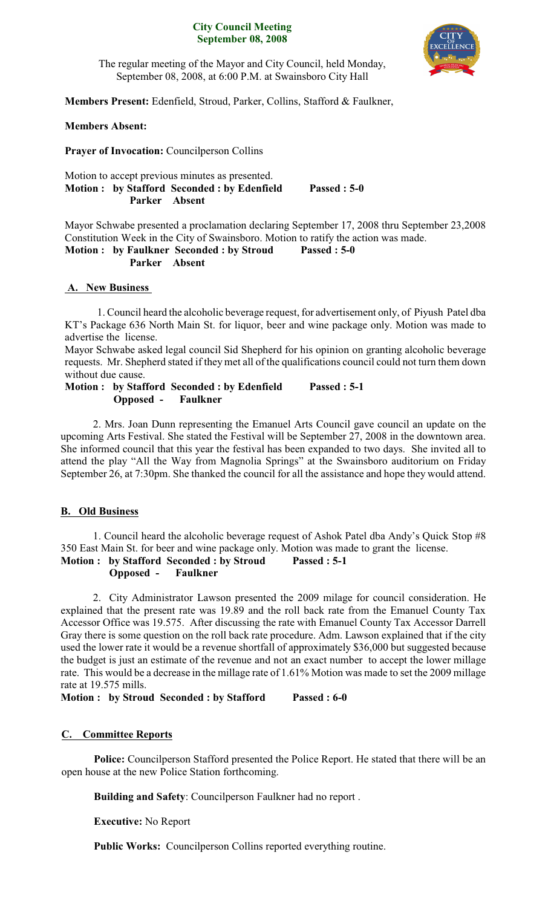### **City Council Meeting September 08, 2008**



The regular meeting of the Mayor and City Council, held Monday, September 08, 2008, at 6:00 P.M. at Swainsboro City Hall

**Members Present:** Edenfield, Stroud, Parker, Collins, Stafford & Faulkner,

## **Members Absent:**

**Prayer of Invocation:** Councilperson Collins

Motion to accept previous minutes as presented. **Motion : by Stafford Seconded : by Edenfield Passed : 5-0 Parker Absent**

Mayor Schwabe presented a proclamation declaring September 17, 2008 thru September 23,2008 Constitution Week in the City of Swainsboro. Motion to ratify the action was made.

## **Motion : by Faulkner Seconded : by Stroud Passed : 5-0 Parker Absent**

## **A. New Business**

1. Council heard the alcoholic beverage request, for advertisement only, of Piyush Patel dba KT's Package 636 North Main St. for liquor, beer and wine package only. Motion was made to advertise the license.

Mayor Schwabe asked legal council Sid Shepherd for his opinion on granting alcoholic beverage requests. Mr. Shepherd stated if they met all of the qualifications council could not turn them down without due cause.

## **Motion : by Stafford Seconded : by Edenfield Passed : 5-1 Opposed - Faulkner**

2. Mrs. Joan Dunn representing the Emanuel Arts Council gave council an update on the upcoming Arts Festival. She stated the Festival will be September 27, 2008 in the downtown area. She informed council that this year the festival has been expanded to two days. She invited all to attend the play "All the Way from Magnolia Springs" at the Swainsboro auditorium on Friday September 26, at 7:30pm. She thanked the council for all the assistance and hope they would attend.

## **B. Old Business**

1. Council heard the alcoholic beverage request of Ashok Patel dba Andy's Quick Stop #8 350 East Main St. for beer and wine package only. Motion was made to grant the license. **Motion : by Stafford Seconded : by Stroud Passed : 5-1 Opposed - Faulkner**

2. City Administrator Lawson presented the 2009 milage for council consideration. He explained that the present rate was 19.89 and the roll back rate from the Emanuel County Tax Accessor Office was 19.575. After discussing the rate with Emanuel County Tax Accessor Darrell Gray there is some question on the roll back rate procedure. Adm. Lawson explained that if the city used the lower rate it would be a revenue shortfall of approximately \$36,000 but suggested because the budget is just an estimate of the revenue and not an exact number to accept the lower millage rate. This would be a decrease in the millage rate of 1.61% Motion was made to set the 2009 millage rate at 19.575 mills.

**Motion : by Stroud Seconded : by Stafford Passed : 6-0**

## **C. Committee Reports**

**Police:** Councilperson Stafford presented the Police Report. He stated that there will be an open house at the new Police Station forthcoming.

**Building and Safety**: Councilperson Faulkner had no report .

**Executive:** No Report

**Public Works:** Councilperson Collins reported everything routine.